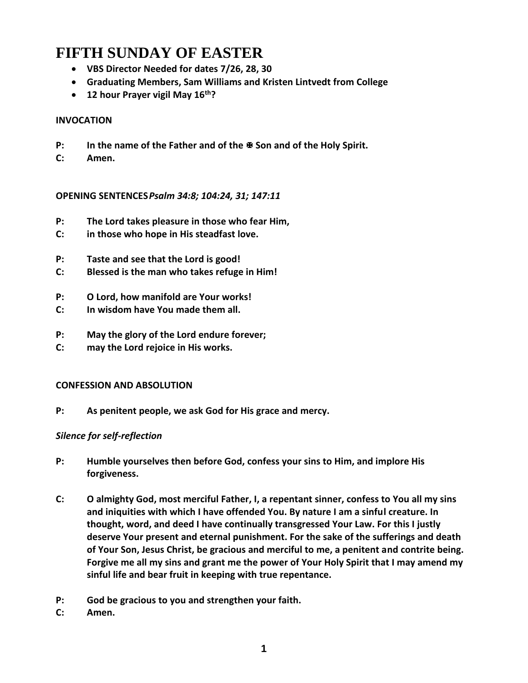# **FIFTH SUNDAY OF EASTER**

- **VBS Director Needed for dates 7/26, 28, 30**
- **Graduating Members, Sam Williams and Kristen Lintvedt from College**
- **12 hour Prayer vigil May 16th?**

# **INVOCATION**

- **P: In the name of the Father and of the Son and of the Holy Spirit.**
- **C: Amen.**

# **OPENING SENTENCES***Psalm 34:8; 104:24, 31; 147:11*

- **P: The Lord takes pleasure in those who fear Him,**
- **C: in those who hope in His steadfast love.**
- **P: Taste and see that the Lord is good!**
- **C: Blessed is the man who takes refuge in Him!**
- **P: O Lord, how manifold are Your works!**
- **C: In wisdom have You made them all.**
- **P: May the glory of the Lord endure forever;**
- **C: may the Lord rejoice in His works.**

## **CONFESSION AND ABSOLUTION**

**P: As penitent people, we ask God for His grace and mercy.**

## *Silence for self-reflection*

- **P: Humble yourselves then before God, confess your sins to Him, and implore His forgiveness.**
- **C: O almighty God, most merciful Father, I, a repentant sinner, confess to You all my sins and iniquities with which I have offended You. By nature I am a sinful creature. In thought, word, and deed I have continually transgressed Your Law. For this I justly deserve Your present and eternal punishment. For the sake of the sufferings and death of Your Son, Jesus Christ, be gracious and merciful to me, a penitent and contrite being. Forgive me all my sins and grant me the power of Your Holy Spirit that I may amend my sinful life and bear fruit in keeping with true repentance.**
- **P: God be gracious to you and strengthen your faith.**
- **C: Amen.**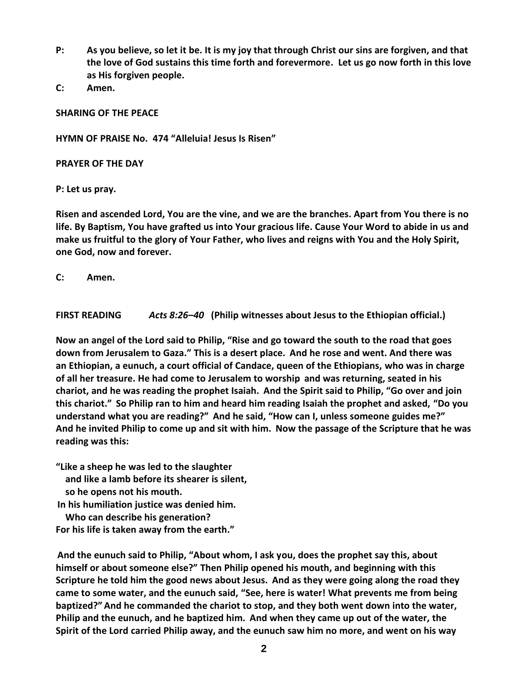- **P: As you believe, so let it be. It is my joy that through Christ our sins are forgiven, and that the love of God sustains this time forth and forevermore. Let us go now forth in this love as His forgiven people.**
- **C: Amen.**

**SHARING OF THE PEACE**

**HYMN OF PRAISE No. 474 "Alleluia! Jesus Is Risen"**

**PRAYER OF THE DAY**

**P: Let us pray.**

**Risen and ascended Lord, You are the vine, and we are the branches. Apart from You there is no life. By Baptism, You have grafted us into Your gracious life. Cause Your Word to abide in us and make us fruitful to the glory of Your Father, who lives and reigns with You and the Holy Spirit, one God, now and forever.**

**C: Amen.**

**FIRST READING** *Acts 8:26–40* **(Philip witnesses about Jesus to the Ethiopian official.)**

**Now an angel of the Lord said to Philip, "Rise and go toward the south to the road that goes down from Jerusalem to Gaza." This is a desert place. And he rose and went. And there was an Ethiopian, a eunuch, a court official of Candace, queen of the Ethiopians, who was in charge of all her treasure. He had come to Jerusalem to worship and was returning, seated in his chariot, and he was reading the prophet Isaiah. And the Spirit said to Philip, "Go over and join this chariot." So Philip ran to him and heard him reading Isaiah the prophet and asked, "Do you understand what you are reading?" And he said, "How can I, unless someone guides me?" And he invited Philip to come up and sit with him. Now the passage of the Scripture that he was reading was this:**

**"Like a sheep he was led to the slaughter and like a lamb before its shearer is silent, so he opens not his mouth. In his humiliation justice was denied him.**

 **Who can describe his generation? For his life is taken away from the earth."**

**And the eunuch said to Philip, "About whom, I ask you, does the prophet say this, about himself or about someone else?" Then Philip opened his mouth, and beginning with this Scripture he told him the good news about Jesus. And as they were going along the road they came to some water, and the eunuch said, "See, here is water! What prevents me from being baptized?" And he commanded the chariot to stop, and they both went down into the water, Philip and the eunuch, and he baptized him. And when they came up out of the water, the Spirit of the Lord carried Philip away, and the eunuch saw him no more, and went on his way**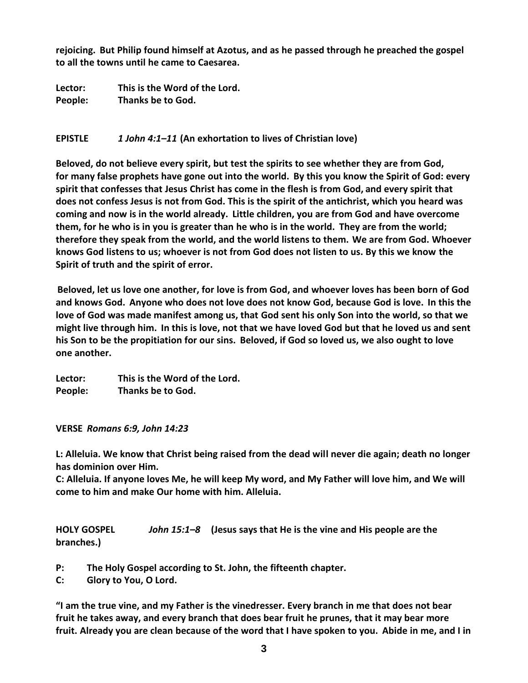**rejoicing. But Philip found himself at Azotus, and as he passed through he preached the gospel to all the towns until he came to Caesarea.**

**Lector: This is the Word of the Lord. People: Thanks be to God.**

# **EPISTLE** *1 John 4:1–11* **(An exhortation to lives of Christian love)**

**Beloved, do not believe every spirit, but test the spirits to see whether they are from God, for many false prophets have gone out into the world. By this you know the Spirit of God: every spirit that confesses that Jesus Christ has come in the flesh is from God, and every spirit that does not confess Jesus is not from God. This is the spirit of the antichrist, which you heard was coming and now is in the world already. Little children, you are from God and have overcome them, for he who is in you is greater than he who is in the world. They are from the world; therefore they speak from the world, and the world listens to them. We are from God. Whoever knows God listens to us; whoever is not from God does not listen to us. By this we know the Spirit of truth and the spirit of error.**

**Beloved, let us love one another, for love is from God, and whoever loves has been born of God and knows God. Anyone who does not love does not know God, because God is love. In this the love of God was made manifest among us, that God sent his only Son into the world, so that we might live through him. In this is love, not that we have loved God but that he loved us and sent his Son to be the propitiation for our sins. Beloved, if God so loved us, we also ought to love one another.**

**Lector: This is the Word of the Lord. People: Thanks be to God.**

**VERSE** *Romans 6:9, John 14:23*

**L: Alleluia. We know that Christ being raised from the dead will never die again; death no longer has dominion over Him.** 

**C: Alleluia. If anyone loves Me, he will keep My word, and My Father will love him, and We will come to him and make Our home with him. Alleluia.**

**HOLY GOSPEL** *John 15:1–8* **(Jesus says that He is the vine and His people are the branches.)**

**P: The Holy Gospel according to St. John, the fifteenth chapter.**

**C: Glory to You, O Lord.**

**"I am the true vine, and my Father is the vinedresser. Every branch in me that does not bear fruit he takes away, and every branch that does bear fruit he prunes, that it may bear more fruit. Already you are clean because of the word that I have spoken to you. Abide in me, and I in**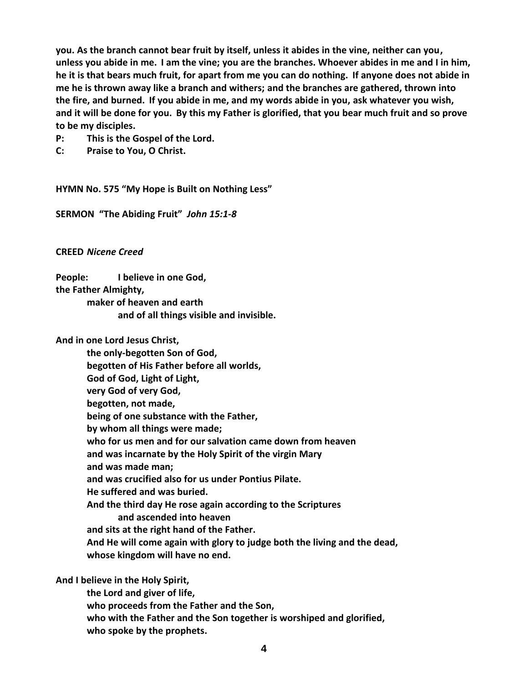**you. As the branch cannot bear fruit by itself, unless it abides in the vine, neither can you, unless you abide in me. I am the vine; you are the branches. Whoever abides in me and I in him, he it is that bears much fruit, for apart from me you can do nothing. If anyone does not abide in me he is thrown away like a branch and withers; and the branches are gathered, thrown into the fire, and burned. If you abide in me, and my words abide in you, ask whatever you wish, and it will be done for you. By this my Father is glorified, that you bear much fruit and so prove to be my disciples.**

- **P: This is the Gospel of the Lord.**
- **C: Praise to You, O Christ.**

**HYMN No. 575 "My Hope is Built on Nothing Less"**

**SERMON "The Abiding Fruit"** *John 15:1-8*

**CREED** *Nicene Creed*

**People: I believe in one God, the Father Almighty, maker of heaven and earth and of all things visible and invisible.**

**And in one Lord Jesus Christ,**

**the only-begotten Son of God, begotten of His Father before all worlds, God of God, Light of Light, very God of very God, begotten, not made, being of one substance with the Father, by whom all things were made; who for us men and for our salvation came down from heaven and was incarnate by the Holy Spirit of the virgin Mary and was made man; and was crucified also for us under Pontius Pilate. He suffered and was buried. And the third day He rose again according to the Scriptures and ascended into heaven and sits at the right hand of the Father. And He will come again with glory to judge both the living and the dead, whose kingdom will have no end.**

**And I believe in the Holy Spirit,**

**the Lord and giver of life, who proceeds from the Father and the Son, who with the Father and the Son together is worshiped and glorified, who spoke by the prophets.**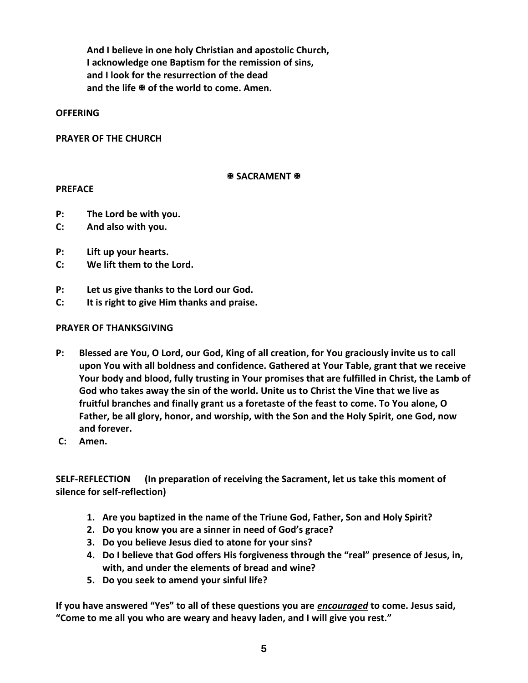**And I believe in one holy Christian and apostolic Church, I acknowledge one Baptism for the remission of sins, and I look for the resurrection of the dead and the life of the world to come. Amen.**

#### **OFFERING**

**PRAYER OF THE CHURCH**

#### **图 SACRAMENT 图**

#### **PREFACE**

- **P: The Lord be with you.**
- **C: And also with you.**
- **P: Lift up your hearts.**
- **C: We lift them to the Lord.**
- **P: Let us give thanks to the Lord our God.**
- **C: It is right to give Him thanks and praise.**

#### **PRAYER OF THANKSGIVING**

- **P: Blessed are You, O Lord, our God, King of all creation, for You graciously invite us to call upon You with all boldness and confidence. Gathered at Your Table, grant that we receive Your body and blood, fully trusting in Your promises that are fulfilled in Christ, the Lamb of God who takes away the sin of the world. Unite us to Christ the Vine that we live as fruitful branches and finally grant us a foretaste of the feast to come. To You alone, O Father, be all glory, honor, and worship, with the Son and the Holy Spirit, one God, now and forever.**
- **C: Amen.**

**SELF-REFLECTION (In preparation of receiving the Sacrament, let us take this moment of silence for self-reflection)** 

- **1. Are you baptized in the name of the Triune God, Father, Son and Holy Spirit?**
- **2. Do you know you are a sinner in need of God's grace?**
- **3. Do you believe Jesus died to atone for your sins?**
- **4. Do I believe that God offers His forgiveness through the "real" presence of Jesus, in, with, and under the elements of bread and wine?**
- **5. Do you seek to amend your sinful life?**

**If you have answered "Yes" to all of these questions you are** *encouraged* **to come. Jesus said, "Come to me all you who are weary and heavy laden, and I will give you rest."**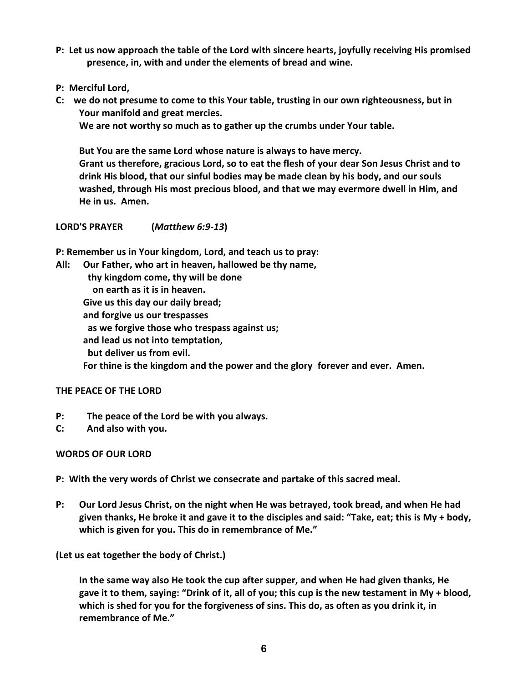- **P: Let us now approach the table of the Lord with sincere hearts, joyfully receiving His promised presence, in, with and under the elements of bread and wine.**
- **P: Merciful Lord,**
- **C: we do not presume to come to this Your table, trusting in our own righteousness, but in Your manifold and great mercies.**

**We are not worthy so much as to gather up the crumbs under Your table.**

**But You are the same Lord whose nature is always to have mercy. Grant us therefore, gracious Lord, so to eat the flesh of your dear Son Jesus Christ and to drink His blood, that our sinful bodies may be made clean by his body, and our souls washed, through His most precious blood, and that we may evermore dwell in Him, and He in us. Amen.**

**LORD'S PRAYER (***Matthew 6:9-13***)**

**P: Remember us in Your kingdom, Lord, and teach us to pray:**

**All: Our Father, who art in heaven, hallowed be thy name, thy kingdom come, thy will be done on earth as it is in heaven. Give us this day our daily bread; and forgive us our trespasses as we forgive those who trespass against us; and lead us not into temptation, but deliver us from evil. For thine is the kingdom and the power and the glory forever and ever. Amen.**

## **THE PEACE OF THE LORD**

- **P: The peace of the Lord be with you always.**
- **C: And also with you.**

## **WORDS OF OUR LORD**

**P: With the very words of Christ we consecrate and partake of this sacred meal.** 

**P: Our Lord Jesus Christ, on the night when He was betrayed, took bread, and when He had given thanks, He broke it and gave it to the disciples and said: "Take, eat; this is My + body, which is given for you. This do in remembrance of Me."**

**(Let us eat together the body of Christ.)**

**In the same way also He took the cup after supper, and when He had given thanks, He gave it to them, saying: "Drink of it, all of you; this cup is the new testament in My + blood, which is shed for you for the forgiveness of sins. This do, as often as you drink it, in remembrance of Me."**